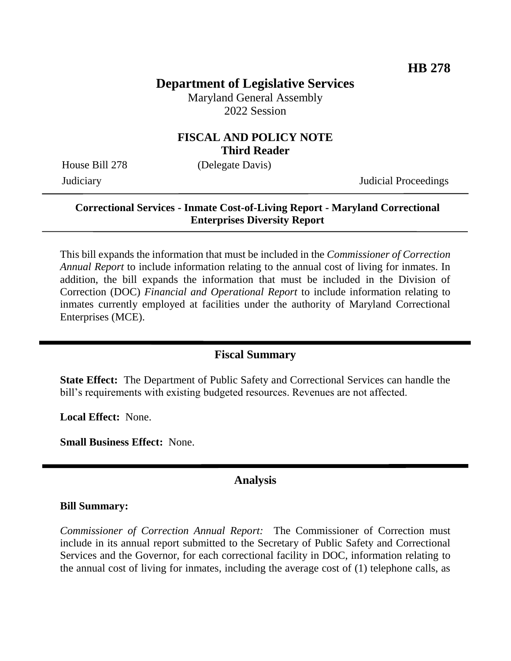# **Department of Legislative Services**

Maryland General Assembly 2022 Session

### **FISCAL AND POLICY NOTE Third Reader**

House Bill 278 (Delegate Davis)

Judiciary Judicial Proceedings

### **Correctional Services - Inmate Cost-of-Living Report - Maryland Correctional Enterprises Diversity Report**

This bill expands the information that must be included in the *Commissioner of Correction Annual Report* to include information relating to the annual cost of living for inmates. In addition, the bill expands the information that must be included in the Division of Correction (DOC) *Financial and Operational Report* to include information relating to inmates currently employed at facilities under the authority of Maryland Correctional Enterprises (MCE).

### **Fiscal Summary**

**State Effect:** The Department of Public Safety and Correctional Services can handle the bill's requirements with existing budgeted resources. Revenues are not affected.

**Local Effect:** None.

**Small Business Effect:** None.

### **Analysis**

#### **Bill Summary:**

*Commissioner of Correction Annual Report:* The Commissioner of Correction must include in its annual report submitted to the Secretary of Public Safety and Correctional Services and the Governor, for each correctional facility in DOC, information relating to the annual cost of living for inmates, including the average cost of (1) telephone calls, as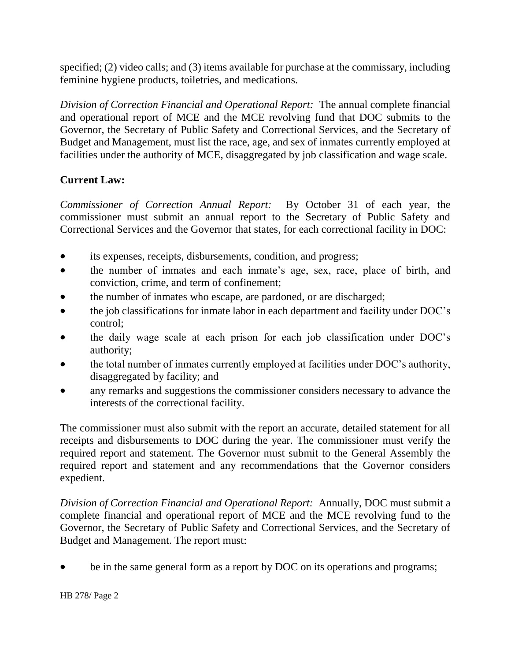specified; (2) video calls; and (3) items available for purchase at the commissary, including feminine hygiene products, toiletries, and medications.

*Division of Correction Financial and Operational Report:* The annual complete financial and operational report of MCE and the MCE revolving fund that DOC submits to the Governor, the Secretary of Public Safety and Correctional Services, and the Secretary of Budget and Management, must list the race, age, and sex of inmates currently employed at facilities under the authority of MCE, disaggregated by job classification and wage scale.

## **Current Law:**

*Commissioner of Correction Annual Report:* By October 31 of each year, the commissioner must submit an annual report to the Secretary of Public Safety and Correctional Services and the Governor that states, for each correctional facility in DOC:

- its expenses, receipts, disbursements, condition, and progress;
- the number of inmates and each inmate's age, sex, race, place of birth, and conviction, crime, and term of confinement;
- the number of inmates who escape, are pardoned, or are discharged;
- the job classifications for inmate labor in each department and facility under DOC's control;
- the daily wage scale at each prison for each job classification under DOC's authority;
- the total number of inmates currently employed at facilities under DOC's authority, disaggregated by facility; and
- any remarks and suggestions the commissioner considers necessary to advance the interests of the correctional facility.

The commissioner must also submit with the report an accurate, detailed statement for all receipts and disbursements to DOC during the year. The commissioner must verify the required report and statement. The Governor must submit to the General Assembly the required report and statement and any recommendations that the Governor considers expedient.

*Division of Correction Financial and Operational Report:* Annually, DOC must submit a complete financial and operational report of MCE and the MCE revolving fund to the Governor, the Secretary of Public Safety and Correctional Services, and the Secretary of Budget and Management. The report must:

be in the same general form as a report by DOC on its operations and programs;